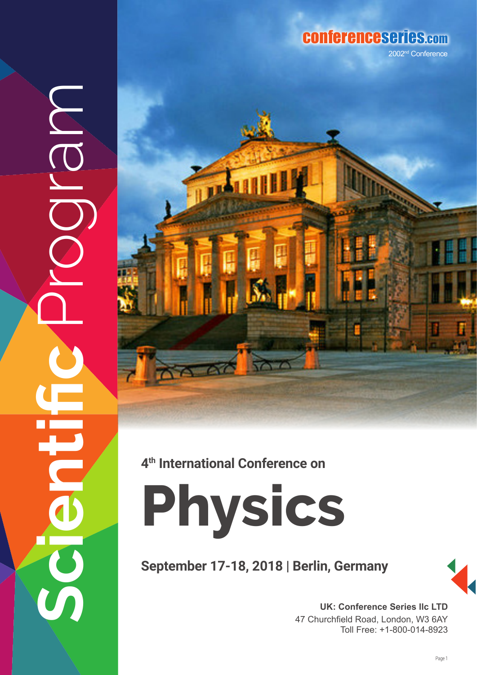## conferenceseries.com

2002nd Conference





**4th International Conference on**

**Physics**

**September 17-18, 2018 | Berlin, Germany**



**UK: Conference Series IIc LTD** 47 Churchfield Road, London, W3 6AY Toll Free: +1-800-014-8923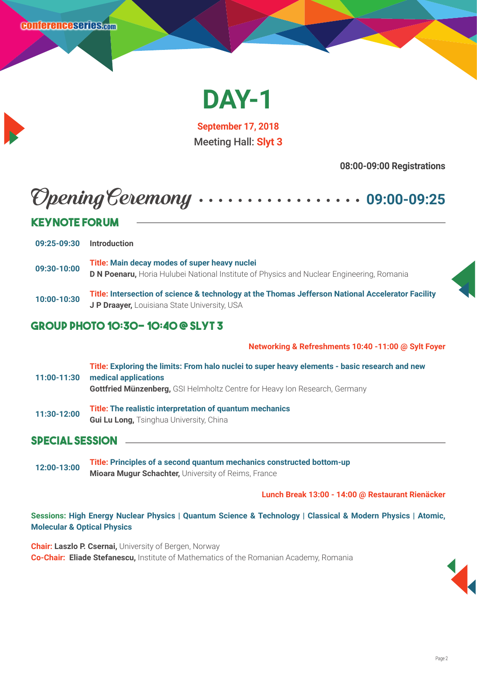

**September 17, 2018** Meeting Hall: **Slyt 3**

**08:00-09:00 Registrations**

# Opening Ceremony **09:00-09:25**

| <b>KEYNOTE FORUM</b> |                                                                                                                                                   |  |
|----------------------|---------------------------------------------------------------------------------------------------------------------------------------------------|--|
|                      |                                                                                                                                                   |  |
| 09:25-09:30          | <b>Introduction</b>                                                                                                                               |  |
| 09:30-10:00          | Title: Main decay modes of super heavy nuclei<br><b>D N Poenaru, Horia Hulubei National Institute of Physics and Nuclear Engineering, Romania</b> |  |
| 10:00-10:30          | Title: Intersection of science & technology at the Thomas Jefferson National Accelerator Facility<br>J P Draayer, Louisiana State University, USA |  |

### **Group Photo 10:30- 10:40 @ Slyt 3**

**Networking & Refreshments 10:40 -11:00 @ Sylt Foyer**

**11:00-11:30 Title: Exploring the limits: From halo nuclei to super heavy elements - basic research and new medical applications Gottfried Münzenberg,** GSI Helmholtz Centre for Heavy Ion Research, Germany **11:30-12:00 Title: The realistic interpretation of quantum mechanics**

**Gui Lu Long, Tsinghua University, China** 

### **Special Session**

**12:00-13:00 Title: Principles of a second quantum mechanics constructed bottom-up Mioara Mugur Schachter,** University of Reims, France

**Lunch Break 13:00 - 14:00 @ Restaurant Rienäcker**

#### **Sessions: High Energy Nuclear Physics | Quantum Science & Technology | Classical & Modern Physics | Atomic, Molecular & Optical Physics**

**Chair: Laszlo P. Csernai,** University of Bergen, Norway **Co-Chair: Eliade Stefanescu,** Institute of Mathematics of the Romanian Academy, Romania

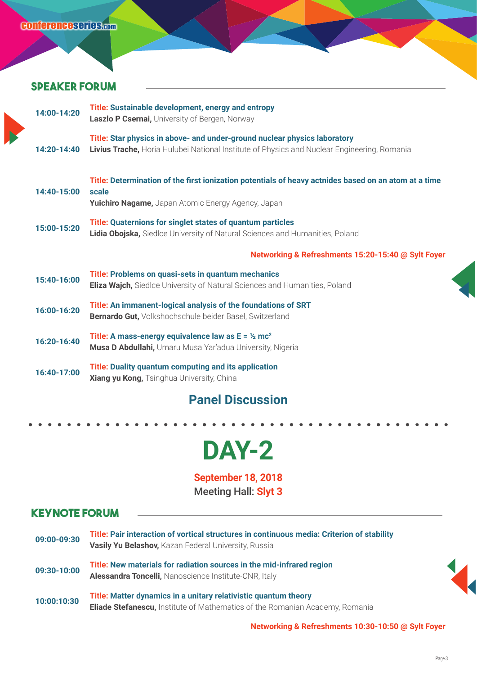### **Speaker forum**

| 14:00-14:20   | Title: Sustainable development, energy and entropy<br>Laszlo P Csernai, University of Bergen, Norway                                                                     |
|---------------|--------------------------------------------------------------------------------------------------------------------------------------------------------------------------|
| $14:20-14:40$ | Title: Star physics in above- and under-ground nuclear physics laboratory<br>Livius Trache, Horia Hulubei National Institute of Physics and Nuclear Engineering, Romania |
| 14:40-15:00   | Title: Determination of the first ionization potentials of heavy actnides based on an atom at a time<br>scale<br>Yuichiro Nagame, Japan Atomic Energy Agency, Japan      |
| 15:00-15:20   | <b>Title: Quaternions for singlet states of quantum particles</b><br>Lidia Obojska, Siedlce University of Natural Sciences and Humanities, Poland                        |
|               | Networking & Refreshments 15:20-15:40 @ Sylt Foyer                                                                                                                       |
| 15:40-16:00   | Title: Problems on quasi-sets in quantum mechanics<br><b>Eliza Wajch,</b> Siedlce University of Natural Sciences and Humanities, Poland                                  |
| 16:00-16:20   | Title: An immanent-logical analysis of the foundations of SRT<br><b>Bernardo Gut, Volkshochschule beider Basel, Switzerland</b>                                          |
| 16:20-16:40   | Title: A mass-energy equivalence law as $E = \frac{1}{2} mc^2$<br>Musa D Abdullahi, Umaru Musa Yar'adua University, Nigeria                                              |
| 16:40-17:00   | Title: Duality quantum computing and its application<br>Xiang yu Kong, Tsinghua University, China                                                                        |
|               |                                                                                                                                                                          |

### **Panel Discussion**

# **DAY-2**

**September 18, 2018** Meeting Hall: **Slyt 3**

### **Keynote Forum**

| 09:00-09:30 | Title: Pair interaction of vortical structures in continuous media: Criterion of stability<br>Vasily Yu Belashov, Kazan Federal University, Russia     |
|-------------|--------------------------------------------------------------------------------------------------------------------------------------------------------|
| 09:30-10:00 | Title: New materials for radiation sources in the mid-infrared region<br>Alessandra Toncelli, Nanoscience Institute-CNR, Italy                         |
| 10:00:10:30 | Title: Matter dynamics in a unitary relativistic quantum theory<br><b>Eliade Stefanescu, Institute of Mathematics of the Romanian Academy, Romania</b> |

**Networking & Refreshments 10:30-10:50 @ Sylt Foyer**

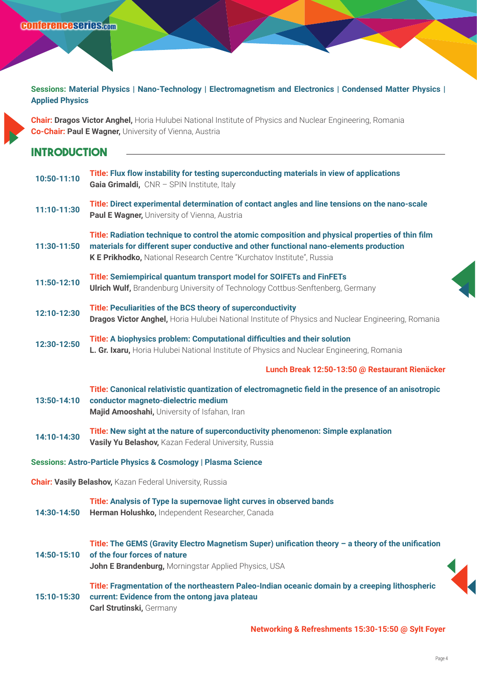**Sessions: Material Physics | Nano-Technology | Electromagnetism and Electronics | Condensed Matter Physics | Applied Physics**

**Chair: Dragos Victor Anghel,** Horia Hulubei National Institute of Physics and Nuclear Engineering, Romania **Co-Chair: Paul E Wagner,** University of Vienna, Austria

### **Introduction**

| 10:50-11:10                                                     | Title: Flux flow instability for testing superconducting materials in view of applications<br>Gaia Grimaldi, CNR - SPIN Institute, Italy                                                                                                                             |
|-----------------------------------------------------------------|----------------------------------------------------------------------------------------------------------------------------------------------------------------------------------------------------------------------------------------------------------------------|
| 11:10-11:30                                                     | Title: Direct experimental determination of contact angles and line tensions on the nano-scale<br>Paul E Wagner, University of Vienna, Austria                                                                                                                       |
| 11:30-11:50                                                     | Title: Radiation technique to control the atomic composition and physical properties of thin film<br>materials for different super conductive and other functional nano-elements production<br>K E Prikhodko, National Research Centre "Kurchatov Institute", Russia |
| 11:50-12:10                                                     | Title: Semiempirical quantum transport model for SOIFETs and FinFETs<br><b>Ulrich Wulf, Brandenburg University of Technology Cottbus-Senftenberg, Germany</b>                                                                                                        |
| 12:10-12:30                                                     | <b>Title: Peculiarities of the BCS theory of superconductivity</b><br>Dragos Victor Anghel, Horia Hulubei National Institute of Physics and Nuclear Engineering, Romania                                                                                             |
| 12:30-12:50                                                     | Title: A biophysics problem: Computational difficulties and their solution<br>L. Gr. Ixaru, Horia Hulubei National Institute of Physics and Nuclear Engineering, Romania                                                                                             |
|                                                                 | Lunch Break 12:50-13:50 @ Restaurant Rienäcker                                                                                                                                                                                                                       |
| 13:50-14:10                                                     | Title: Canonical relativistic quantization of electromagnetic field in the presence of an anisotropic<br>conductor magneto-dielectric medium<br>Majid Amooshahi, University of Isfahan, Iran                                                                         |
| 14:10-14:30                                                     | Title: New sight at the nature of superconductivity phenomenon: Simple explanation<br>Vasily Yu Belashov, Kazan Federal University, Russia                                                                                                                           |
|                                                                 | Sessions: Astro-Particle Physics & Cosmology   Plasma Science                                                                                                                                                                                                        |
| <b>Chair: Vasily Belashov, Kazan Federal University, Russia</b> |                                                                                                                                                                                                                                                                      |
| 14:30-14:50                                                     | Title: Analysis of Type Ia supernovae light curves in observed bands<br>Herman Holushko, Independent Researcher, Canada                                                                                                                                              |
| 14:50-15:10                                                     | Title: The GEMS (Gravity Electro Magnetism Super) unification theory $-$ a theory of the unification<br>of the four forces of nature<br>John E Brandenburg, Morningstar Applied Physics, USA                                                                         |
| 15:10-15:30                                                     | Title: Fragmentation of the northeastern Paleo-Indian oceanic domain by a creeping lithospheric<br>current: Evidence from the ontong java plateau<br><b>Carl Strutinski, Germany</b>                                                                                 |
|                                                                 |                                                                                                                                                                                                                                                                      |

**Networking & Refreshments 15:30-15:50 @ Sylt Foyer**